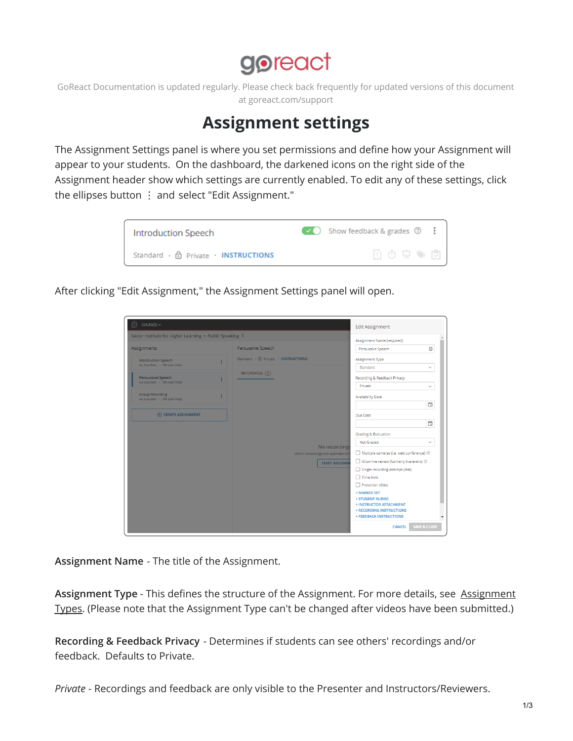## goreact

GoReact Documentation is updated regularly. Please check back frequently for updated versions of this document at goreact.com/support

## **Assignment settings**

The Assignment Settings panel is where you set permissions and define how your Assignment will appear to your students. On the dashboard, the darkened icons on the right side of the Assignment header show which settings are currently enabled. To edit any of these settings, click the ellipses button  $\vdots$  and select "Edit Assignment."



After clicking "Edit Assignment," the Assignment Settings panel will open.

| Xavier Institute for Higher Learning · Public Speaking : |                                                                                     |                          |  |
|----------------------------------------------------------|-------------------------------------------------------------------------------------|--------------------------|--|
| Assignments                                              | Assignment Name (required)<br>Persuasive Speech<br>Persuasive Speech                | 固                        |  |
| <b>Introduction Speech</b><br>No Due Date - 0% submitted | Standard · A Private · INSTRUCTIONS<br>Assignment Type                              |                          |  |
| <b>Persuasive Speech</b>                                 | RECORDINGS (0)<br>Recording & Feedback Privacy                                      | Standard<br>$\checkmark$ |  |
| No Due Date . 0% submitted                               | Private                                                                             | v                        |  |
| Group Recording<br>No Due Date . 0% submitted            | <b>Availability Date</b>                                                            |                          |  |
| <b>ED CREATE ASSIGNMENT</b>                              | Due Date                                                                            | ö                        |  |
|                                                          |                                                                                     | ö                        |  |
|                                                          | Grading & Evaluation                                                                |                          |  |
|                                                          | Not Graded<br>No recordings                                                         | $\checkmark$             |  |
|                                                          | Multiple cameras (i.e. web conference) $\oslash$<br>When recordings are submitted t |                          |  |
|                                                          | Allow live review (formerly live event) 2<br><b>START ASSIGNM</b>                   |                          |  |
|                                                          | Single recording attempt (test)                                                     |                          |  |
|                                                          | Time limit                                                                          |                          |  |
|                                                          | Presenter slides                                                                    |                          |  |
|                                                          | + MARKER SET<br><b>+ STUDENT RUBRIC</b>                                             |                          |  |
|                                                          | + INSTRUCTOR ATTACHMENT                                                             |                          |  |
|                                                          | + RECORDING INSTRUCTIONS                                                            |                          |  |

**Assignment Name** - The title of the Assignment.

**Assignment Type** - This defines the structure of the [Assignment.](https://community.goreact.com/hc/en-us/articles/360002946031) For more details, see Assignment Types. (Please note that the Assignment Type can't be changed after videos have been submitted.)

**Recording & Feedback Privacy** - Determines if students can see others' recordings and/or feedback. Defaults to Private.

*Private* - Recordings and feedback are only visible to the Presenter and Instructors/Reviewers.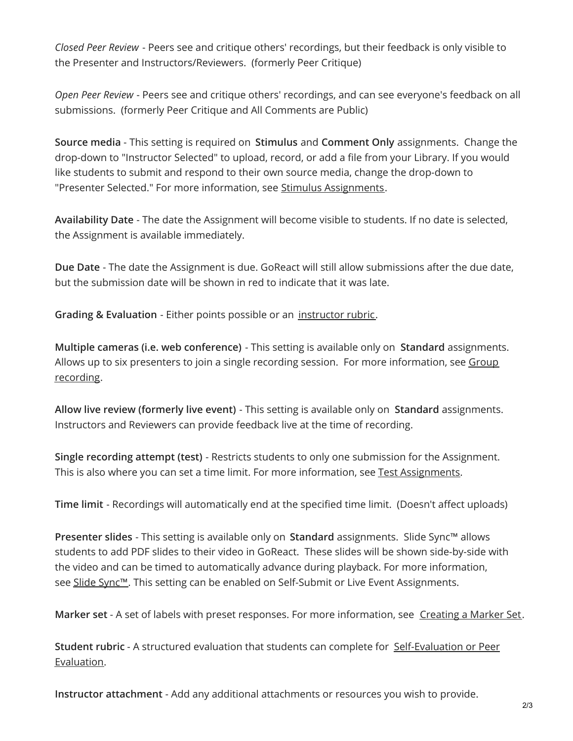*Closed Peer Review* - Peers see and critique others' recordings, but their feedback is only visible to the Presenter and Instructors/Reviewers. (formerly Peer Critique)

*Open Peer Review* - Peers see and critique others' recordings, and can see everyone's feedback on all submissions. (formerly Peer Critique and All Comments are Public)

**Source media** - This setting is required on **Stimulus** and **Comment Only** assignments. Change the drop-down to "Instructor Selected" to upload, record, or add a file from your Library. If you would like students to submit and respond to their own source media, change the drop-down to "Presenter Selected." For more information, see Stimulus [Assignments](https://help.goreact.com/hc/en-us/articles/360002946471).

**Availability Date** - The date the Assignment will become visible to students. If no date is selected, the Assignment is available immediately.

**Due Date** - The date the Assignment is due. GoReact will still allow submissions after the due date, but the submission date will be shown in red to indicate that it was late.

**Grading & Evaluation** - Either points possible or an [instructor](https://help.goreact.com/hc/en-us/articles/360003085551) rubric.

**Multiple cameras (i.e. web conference)** - This setting is available only on **Standard** assignments. Allows up to six presenters to join a single recording session. For more [information,](https://help.goreact.com/hc/en-us/articles/360021009852) see Group recording.

**Allow live review (formerly live event)** - This setting is available only on **Standard** assignments. Instructors and Reviewers can provide feedback live at the time of recording.

**Single recording attempt (test)** - Restricts students to only one submission for the Assignment. This is also where you can set a time limit. For more information, see Test [Assignments](https://community.goreact.com/hc/en-us/articles/360002974432).

**Time limit** - Recordings will automatically end at the specified time limit. (Doesn't affect uploads)

**Presenter slides** - This setting is available only on **Standard** assignments. Slide Sync™ allows students to add PDF slides to their video in GoReact. These slides will be shown side-by-side with the video and can be timed to automatically advance during playback. For more information, see Slide [Sync™](https://community.goreact.com/hc/en-us/articles/115001224643). This setting can be enabled on Self-Submit or Live Event Assignments.

**Marker set** - A set of labels with preset responses. For more information, see [Creating](https://community.goreact.com/hc/en-us/articles/360003085771) a Marker Set.

**Student rubric** - A structured evaluation that students can complete for [Self-Evaluation](https://help.goreact.com/hc/en-us/articles/360003085551#Student_Rubrics) or Peer Evaluation.

**Instructor attachment** - Add any additional attachments or resources you wish to provide.